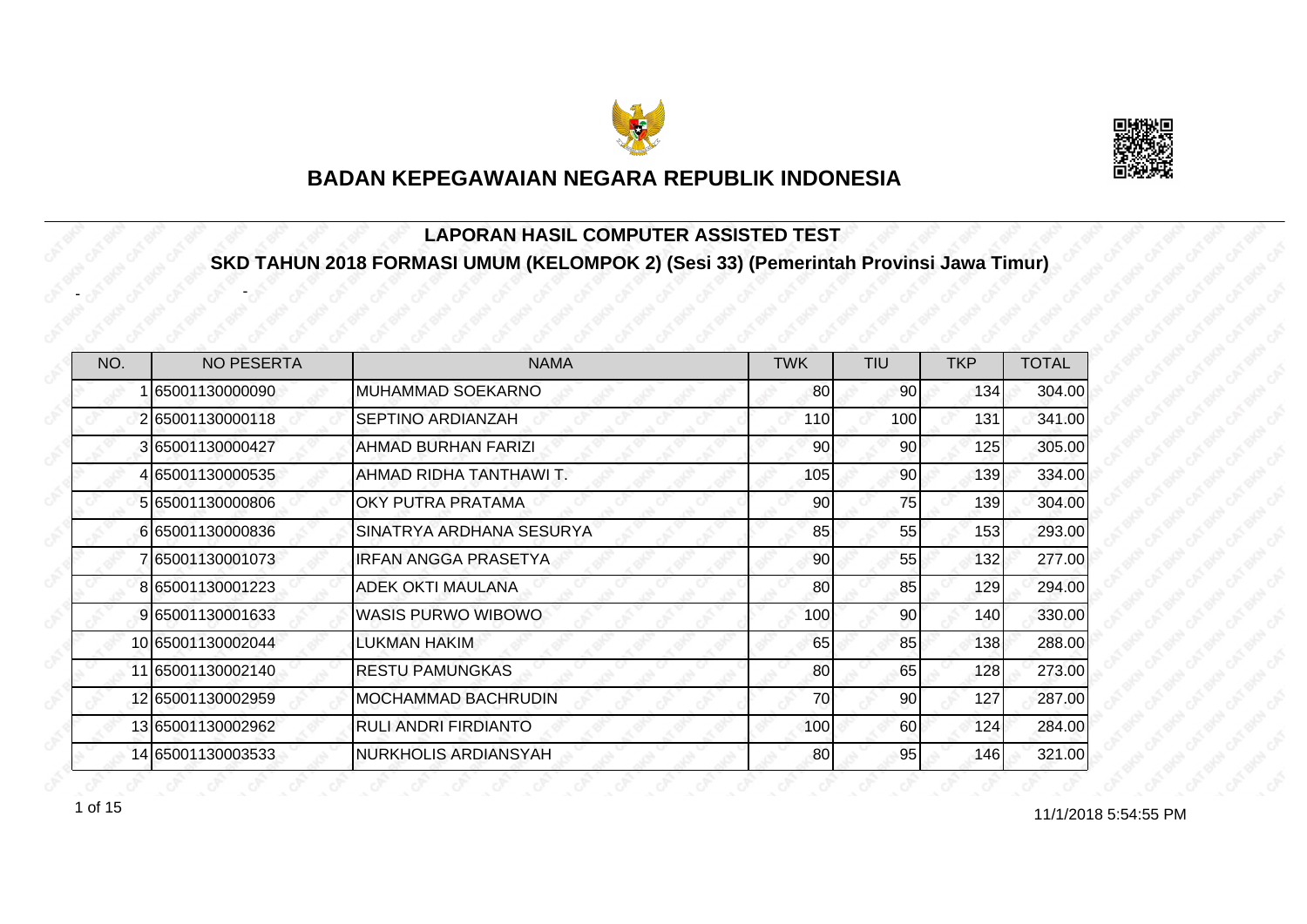



#### **LAPORAN HASIL COMPUTER ASSISTED TEST SKD TAHUN 2018 FORMASI UMUM (KELOMPOK 2) (Sesi 33) (Pemerintah Provinsi Jawa Timur)**

| NO. | <b>NO PESERTA</b> | <b>NAMA</b>                 | <b>TWK</b>      | TIU             | <b>TKP</b> | <b>TOTAL</b> |
|-----|-------------------|-----------------------------|-----------------|-----------------|------------|--------------|
|     | 65001130000090    | MUHAMMAD SOEKARNO           | 80              | 90 <sup>°</sup> | 134        | 304.00       |
|     | 265001130000118   | SEPTINO ARDIANZAH           | 110             | 100             | 131        | 341.00       |
|     | 3 65001130000427  | AHMAD BURHAN FARIZI         | 90 <sub>l</sub> | 90              | 125        | 305.00       |
|     | 4 65001130000535  | AHMAD RIDHA TANTHAWI T.     | 105             | 90              | 139        | 334.00       |
|     | 5 65001130000806  | OKY PUTRA PRATAMA           | 90              | 75              | 139        | 304.00       |
|     | 665001130000836   | SINATRYA ARDHANA SESURYA    | 85              | 55              | 153        | 293.00       |
|     | 7 65001130001073  | <b>IRFAN ANGGA PRASETYA</b> | 90              | 55              | 132        | 277.00       |
|     | 8 65001130001223  | ADEK OKTI MAULANA           | 80              | 85              | 129        | 294.00       |
|     | 9 65001130001633  | <b>WASIS PURWO WIBOWO</b>   | 100             | 90              | 140        | 330.00       |
|     | 10 65001130002044 | LUKMAN HAKIM                | 65              | 85              | 138        | 288.00       |
|     | 11 65001130002140 | <b>RESTU PAMUNGKAS</b>      | 80              | 65              | 128        | 273.00       |
|     | 12 65001130002959 | MOCHAMMAD BACHRUDIN         | 70              | 90              | 127        | 287.00       |
|     | 13 65001130002962 | RULI ANDRI FIRDIANTO        | 100             | 60              | 124        | 284.00       |
|     | 14 65001130003533 | NURKHOLIS ARDIANSYAH        | 80              | 95              | 146        | 321.00       |

11/1/2018 5:54:55 PM 1 of 15

-

-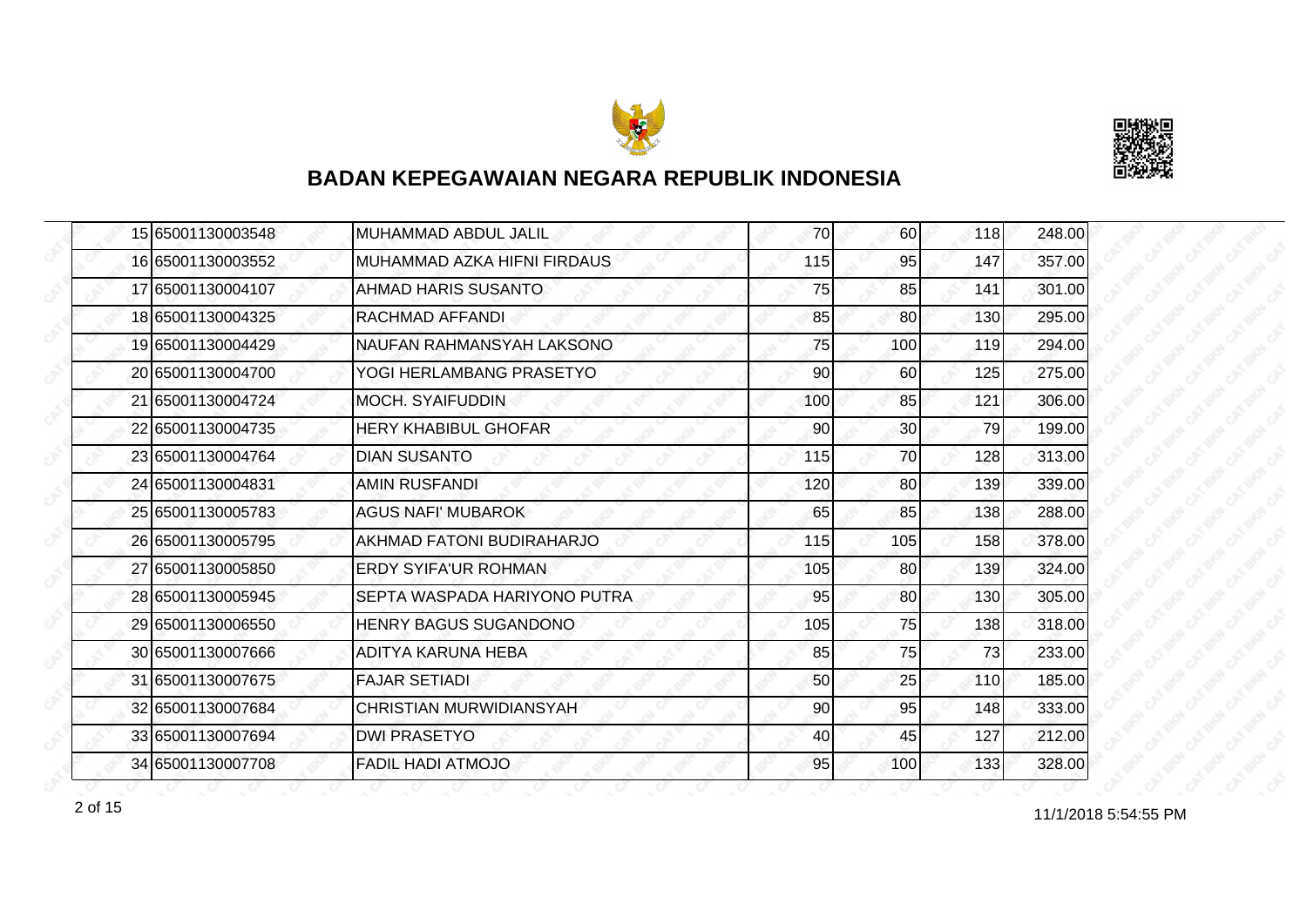



|  | 15 65001130003548 | <b>MUHAMMAD ABDUL JALIL</b>    | 70  | 60              | 118 | 248.00 |
|--|-------------------|--------------------------------|-----|-----------------|-----|--------|
|  | 16 65001130003552 | MUHAMMAD AZKA HIFNI FIRDAUS    | 115 | 95              | 147 | 357.00 |
|  | 17 65001130004107 | AHMAD HARIS SUSANTO            | 75  | 85              | 141 | 301.00 |
|  | 18 65001130004325 | RACHMAD AFFANDI                | 85  | <b>80</b>       | 130 | 295.00 |
|  | 19 65001130004429 | NAUFAN RAHMANSYAH LAKSONO      | 75  | 100             | 119 | 294.00 |
|  | 20 65001130004700 | YOGI HERLAMBANG PRASETYO       | 90  | 60              | 125 | 275.00 |
|  | 21 65001130004724 | <b>MOCH. SYAIFUDDIN</b>        | 100 | 85              | 121 | 306.00 |
|  | 22 65001130004735 | <b>HERY KHABIBUL GHOFAR</b>    | 90  | 30              | 79  | 199.00 |
|  | 23 65001130004764 | <b>DIAN SUSANTO</b>            | 115 | 70              | 128 | 313.00 |
|  | 24 65001130004831 | <b>AMIN RUSFANDI</b>           | 120 | 80 <sup>1</sup> | 139 | 339.00 |
|  | 25 65001130005783 | <b>AGUS NAFI' MUBAROK</b>      | 65  | 85              | 138 | 288.00 |
|  | 26 65001130005795 | AKHMAD FATONI BUDIRAHARJO      | 115 | 105             | 158 | 378.00 |
|  | 27 65001130005850 | <b>ERDY SYIFA'UR ROHMAN</b>    | 105 | 80              | 139 | 324.00 |
|  | 28 65001130005945 | SEPTA WASPADA HARIYONO PUTRA   | 95  | 80              | 130 | 305.00 |
|  | 29 65001130006550 | HENRY BAGUS SUGANDONO          | 105 | 75              | 138 | 318.00 |
|  | 30 65001130007666 | ADITYA KARUNA HEBA             | 85  | 75              | 73  | 233.00 |
|  | 31 65001130007675 | <b>FAJAR SETIADI</b>           | 50  | 25              | 110 | 185.00 |
|  | 32 65001130007684 | <b>CHRISTIAN MURWIDIANSYAH</b> | 90  | 95              | 148 | 333.00 |
|  | 33 65001130007694 | <b>DWI PRASETYO</b>            | 40  | 45              | 127 | 212.00 |
|  | 34 65001130007708 | <b>FADIL HADI ATMOJO</b>       | 95  | 100             | 133 | 328.00 |

11/1/2018 5:54:55 PM 2 of 15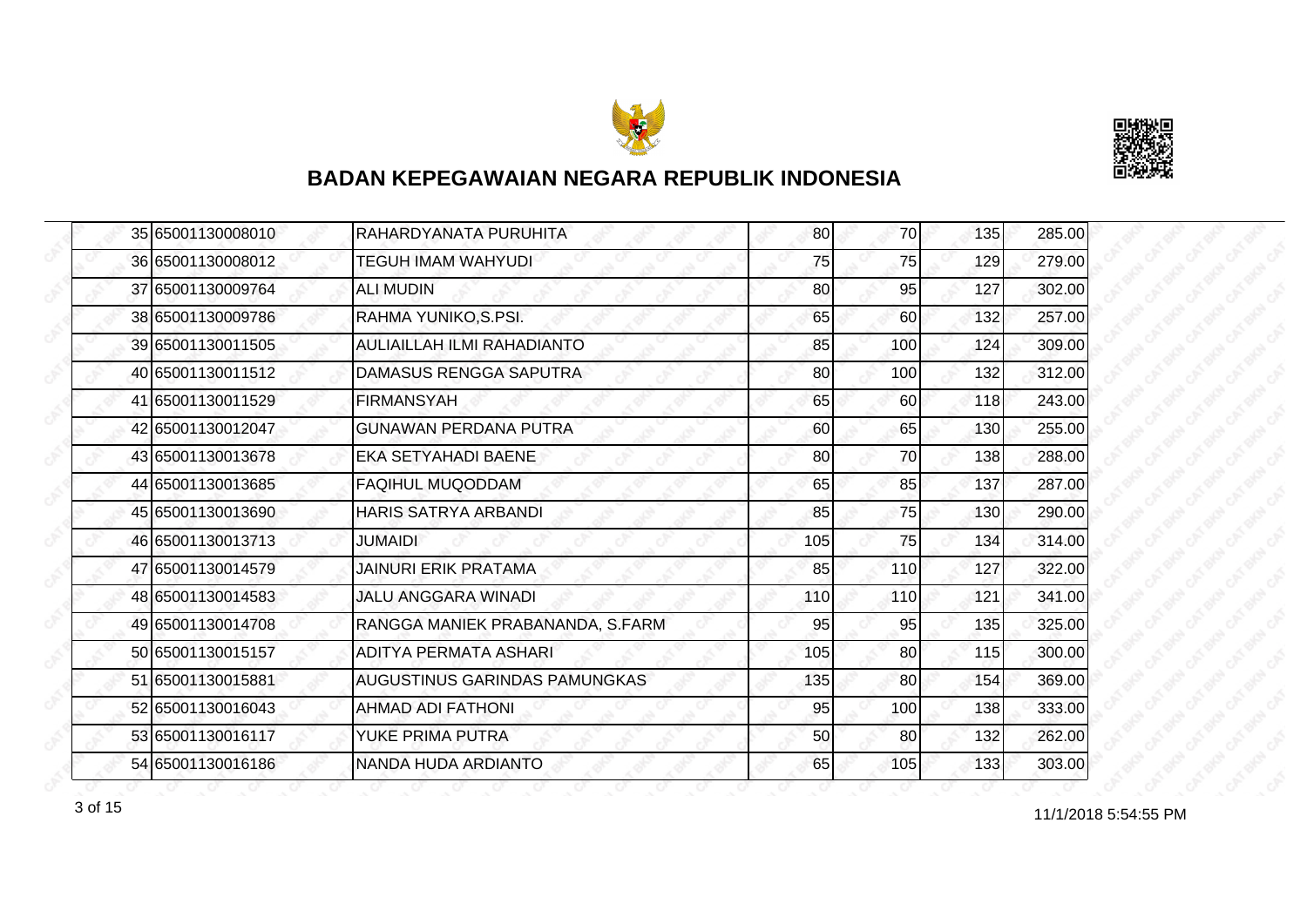



|  | 35 65001130008010 | RAHARDYANATA PURUHITA                | 80  | 70I             | 135 | 285.00 |
|--|-------------------|--------------------------------------|-----|-----------------|-----|--------|
|  | 36 65001130008012 | <b>TEGUH IMAM WAHYUDI</b>            | 75  | 75              | 129 | 279.00 |
|  | 37 65001130009764 | <b>ALI MUDIN</b>                     | 80  | 95              | 127 | 302.00 |
|  | 38 65001130009786 | RAHMA YUNIKO, S.PSI.                 | 65  | <b>60</b>       | 132 | 257.00 |
|  | 39 65001130011505 | AULIAILLAH ILMI RAHADIANTO           | 85  | 100             | 124 | 309.00 |
|  | 40 65001130011512 | DAMASUS RENGGA SAPUTRA               | 80  | 100             | 132 | 312.00 |
|  | 41 65001130011529 | <b>FIRMANSYAH</b>                    | 65  | 60              | 118 | 243.00 |
|  | 42 65001130012047 | <b>GUNAWAN PERDANA PUTRA</b>         | 60  | 65              | 130 | 255.00 |
|  | 43 65001130013678 | <b>EKA SETYAHADI BAENE</b>           | 80  | 70              | 138 | 288.00 |
|  | 44 65001130013685 | <b>FAQIHUL MUQODDAM</b>              | 65  | 85              | 137 | 287.00 |
|  | 45 65001130013690 | HARIS SATRYA ARBANDI                 | 85  | 75              | 130 | 290.00 |
|  | 46 65001130013713 | <b>JUMAIDI</b>                       | 105 | 75              | 134 | 314.00 |
|  | 47 65001130014579 | <b>JAINURI ERIK PRATAMA</b>          | 85  | 110             | 127 | 322.00 |
|  | 48 65001130014583 | <b>JALU ANGGARA WINADI</b>           | 110 | 110             | 121 | 341.00 |
|  | 49 65001130014708 | RANGGA MANIEK PRABANANDA, S.FARM     | 95  | 95              | 135 | 325.00 |
|  | 50 65001130015157 | ADITYA PERMATA ASHARI                | 105 | 80 <sup>1</sup> | 115 | 300.00 |
|  | 51 65001130015881 | <b>AUGUSTINUS GARINDAS PAMUNGKAS</b> | 135 | 80              | 154 | 369.00 |
|  | 52 65001130016043 | AHMAD ADI FATHONI                    | 95  | 100             | 138 | 333.00 |
|  | 53 65001130016117 | YUKE PRIMA PUTRA                     | 50  | 80              | 132 | 262.00 |
|  | 54 65001130016186 | NANDA HUDA ARDIANTO                  | 65  | 105             | 133 | 303.00 |

11/1/2018 5:54:55 PM 3 of 15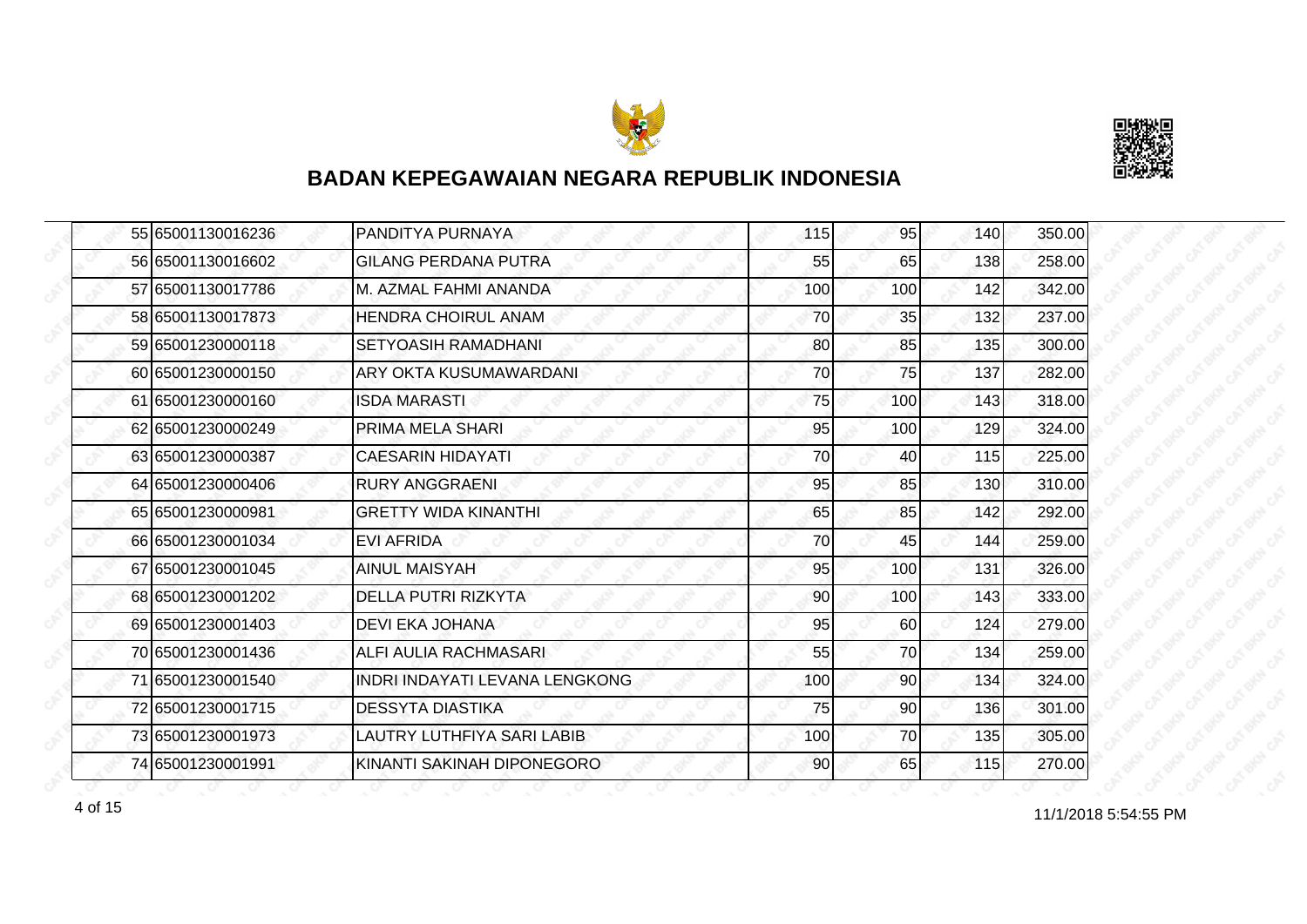



|  | 55 65001130016236 | PANDITYA PURNAYA               | 115 | 95  | 140 | 350.00 |
|--|-------------------|--------------------------------|-----|-----|-----|--------|
|  | 56 65001130016602 | <b>GILANG PERDANA PUTRA</b>    | 55  | 65  | 138 | 258.00 |
|  | 57 65001130017786 | M. AZMAL FAHMI ANANDA          | 100 | 100 | 142 | 342.00 |
|  | 58 65001130017873 | <b>HENDRA CHOIRUL ANAM</b>     | 70  | 35  | 132 | 237.00 |
|  | 59 65001230000118 | <b>SETYOASIH RAMADHANI</b>     | 80  | 85  | 135 | 300.00 |
|  | 60 65001230000150 | ARY OKTA KUSUMAWARDANI         | 70  | 75  | 137 | 282.00 |
|  | 61 65001230000160 | <b>ISDA MARASTI</b>            | 75  | 100 | 143 | 318.00 |
|  | 62 65001230000249 | <b>PRIMA MELA SHARI</b>        | 95  | 100 | 129 | 324.00 |
|  | 63 65001230000387 | <b>CAESARIN HIDAYATI</b>       | 70  | 40  | 115 | 225.00 |
|  | 64 65001230000406 | <b>RURY ANGGRAENI</b>          | 95  | 85  | 130 | 310.00 |
|  | 65 65001230000981 | <b>GRETTY WIDA KINANTHI</b>    | 65  | 85  | 142 | 292.00 |
|  | 66 65001230001034 | <b>EVI AFRIDA</b>              | 70  | 45  | 144 | 259.00 |
|  | 67 65001230001045 | <b>AINUL MAISYAH</b>           | 95  | 100 | 131 | 326.00 |
|  | 68 65001230001202 | DELLA PUTRI RIZKYTA            | 90  | 100 | 143 | 333.00 |
|  | 69 65001230001403 | <b>DEVI EKA JOHANA</b>         | 95  | 60  | 124 | 279.00 |
|  | 70 65001230001436 | ALFI AULIA RACHMASARI          | 55  | 70  | 134 | 259.00 |
|  | 71 65001230001540 | INDRI INDAYATI LEVANA LENGKONG | 100 | 90  | 134 | 324.00 |
|  | 72 65001230001715 | <b>DESSYTA DIASTIKA</b>        | 75  | 90  | 136 | 301.00 |
|  | 73 65001230001973 | LAUTRY LUTHFIYA SARI LABIB     | 100 | 70  | 135 | 305.00 |
|  | 74 65001230001991 | KINANTI SAKINAH DIPONEGORO     | 90  | 65  | 115 | 270.00 |

11/1/2018 5:54:55 PM 4 of 15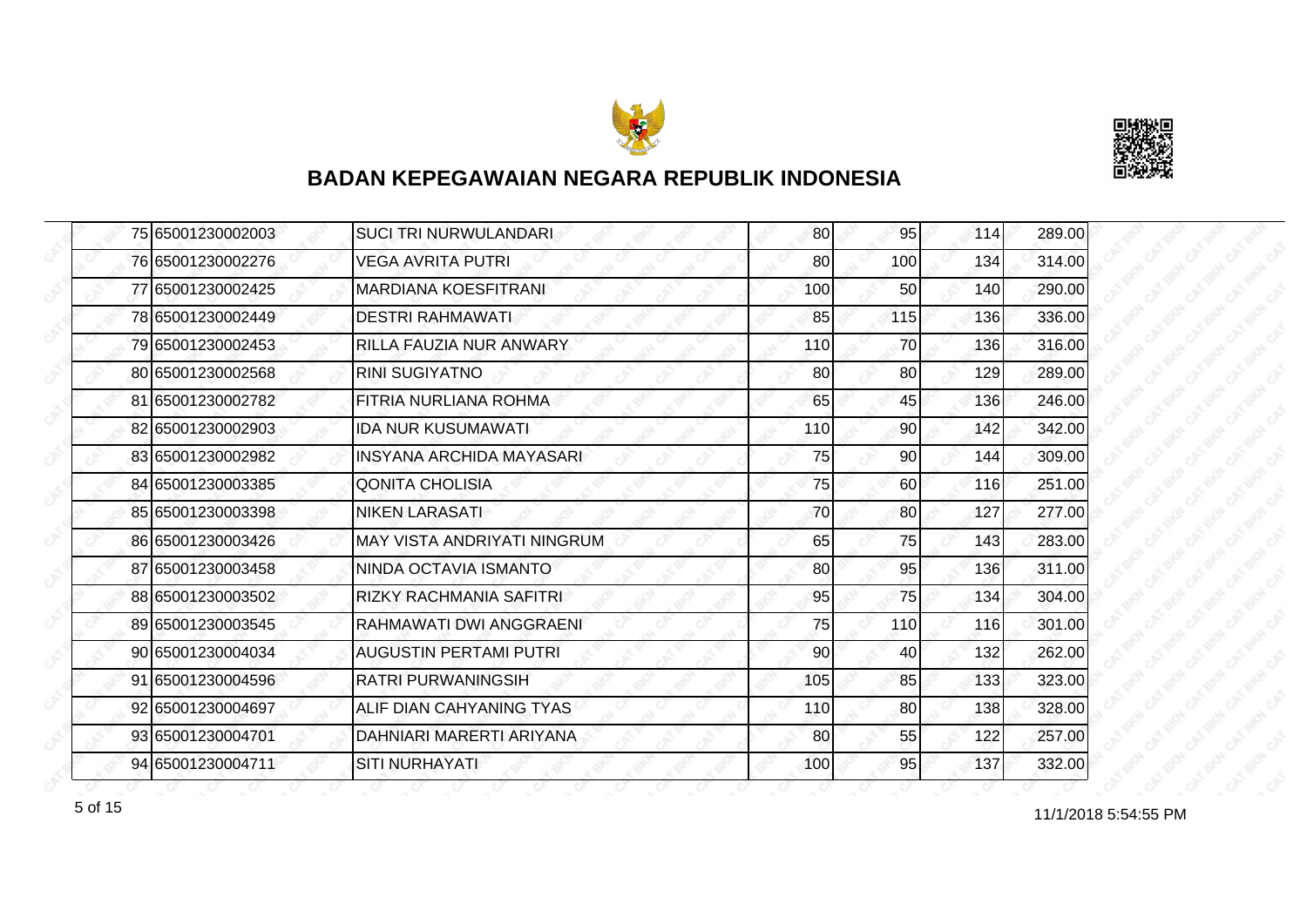



|  | 75 65001230002003 | <b>SUCI TRI NURWULANDARI</b>   | 80  | 95              | 114 | 289.00 |
|--|-------------------|--------------------------------|-----|-----------------|-----|--------|
|  | 76 65001230002276 | VEGA AVRITA PUTRI              | 80  | 100             | 134 | 314.00 |
|  | 77 65001230002425 | <b>MARDIANA KOESFITRANI</b>    | 100 | 50              | 140 | 290.00 |
|  | 78 65001230002449 | <b>DESTRI RAHMAWATI</b>        | 85  | 115             | 136 | 336.00 |
|  | 79 65001230002453 | RILLA FAUZIA NUR ANWARY        | 110 | 70              | 136 | 316.00 |
|  | 80 65001230002568 | <b>RINI SUGIYATNO</b>          | 80  | 80              | 129 | 289.00 |
|  | 81 65001230002782 | FITRIA NURLIANA ROHMA          | 65  | 45              | 136 | 246.00 |
|  | 82 65001230002903 | <b>IDA NUR KUSUMAWATI</b>      | 110 | 90 <sup>1</sup> | 142 | 342.00 |
|  | 83 65001230002982 | INSYANA ARCHIDA MAYASARI       | 75  | 90              | 144 | 309.00 |
|  | 84 65001230003385 | <b>QONITA CHOLISIA</b>         | 75  | 60              | 116 | 251.00 |
|  | 85 65001230003398 | <b>NIKEN LARASATI</b>          | 70  | 80              | 127 | 277.00 |
|  | 86 65001230003426 | MAY VISTA ANDRIYATI NINGRUM    | 65  | 75              | 143 | 283.00 |
|  | 87 65001230003458 | NINDA OCTAVIA ISMANTO          | 80  | 95              | 136 | 311.00 |
|  | 88 65001230003502 | <b>RIZKY RACHMANIA SAFITRI</b> | 95  | 75              | 134 | 304.00 |
|  | 89 65001230003545 | RAHMAWATI DWI ANGGRAENI        | 75  | 110             | 116 | 301.00 |
|  | 90 65001230004034 | <b>AUGUSTIN PERTAMI PUTRI</b>  | 90  | 40              | 132 | 262.00 |
|  | 91 65001230004596 | <b>RATRI PURWANINGSIH</b>      | 105 | 85              | 133 | 323.00 |
|  | 92 65001230004697 | ALIF DIAN CAHYANING TYAS       | 110 | 80              | 138 | 328.00 |
|  | 93 65001230004701 | DAHNIARI MARERTI ARIYANA       | 80  | 55              | 122 | 257.00 |
|  | 94 65001230004711 | <b>SITI NURHAYATI</b>          | 100 | 95              | 137 | 332.00 |

for the 11/1/2018 5:54:55 PM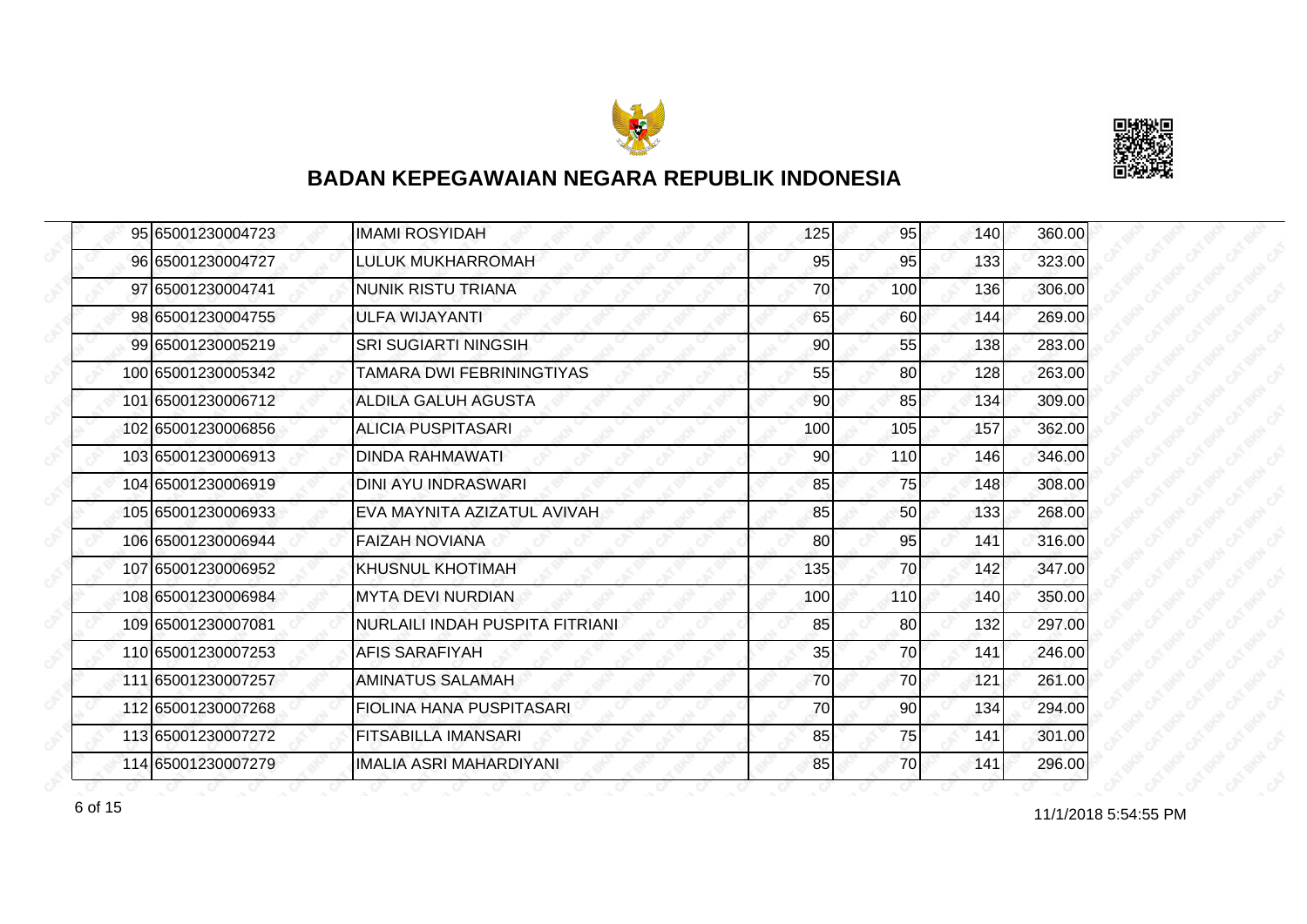



| 95 65001230004723  | <b>IMAMI ROSYIDAH</b>           | 125 | 95  | 140 | 360.00 |
|--------------------|---------------------------------|-----|-----|-----|--------|
| 96 65001230004727  | LULUK MUKHARROMAH               | 95  | 95  | 133 | 323.00 |
| 97 65001230004741  | NUNIK RISTU TRIANA              | 70  | 100 | 136 | 306.00 |
| 98 65001230004755  | ULFA WIJAYANTI                  | 65  | 60  | 144 | 269.00 |
| 99 65001230005219  | <b>SRI SUGIARTI NINGSIH</b>     | 90  | 55  | 138 | 283.00 |
| 100165001230005342 | TAMARA DWI FEBRININGTIYAS       | 55  | 80  | 128 | 263.00 |
| 101 65001230006712 | <b>ALDILA GALUH AGUSTA</b>      | 90  | 85  | 134 | 309.00 |
| 102 65001230006856 | ALICIA PUSPITASARI              | 100 | 105 | 157 | 362.00 |
| 103165001230006913 | DINDA RAHMAWATI                 | 90  | 110 | 146 | 346.00 |
| 104 65001230006919 | <b>DINI AYU INDRASWARI</b>      | 85  | 75  | 148 | 308.00 |
| 105 65001230006933 | EVA MAYNITA AZIZATUL AVIVAH     | 85  | 50  | 133 | 268.00 |
| 106 65001230006944 | <b>FAIZAH NOVIANA</b>           | 80  | 95  | 141 | 316.00 |
| 107 65001230006952 | <b>KHUSNUL KHOTIMAH</b>         | 135 | 70  | 142 | 347.00 |
| 108 65001230006984 | <b>MYTA DEVI NURDIAN</b>        | 100 | 110 | 140 | 350.00 |
| 109 65001230007081 | NURLAILI INDAH PUSPITA FITRIANI | 85  | 80  | 132 | 297.00 |
| 110 65001230007253 | <b>AFIS SARAFIYAH</b>           | 35  | 70  | 141 | 246.00 |
| 111 65001230007257 | <b>AMINATUS SALAMAH</b>         | 70  | 70  | 121 | 261.00 |
| 112 65001230007268 | <b>FIOLINA HANA PUSPITASARI</b> | 70  | 90  | 134 | 294.00 |
| 113 65001230007272 | <b>FITSABILLA IMANSARI</b>      | 85  | 75  | 141 | 301.00 |
| 114 65001230007279 | <b>IMALIA ASRI MAHARDIYANI</b>  | 85  | 70  | 141 | 296.00 |

11/1/2018 5:54:55 PM 6 of 15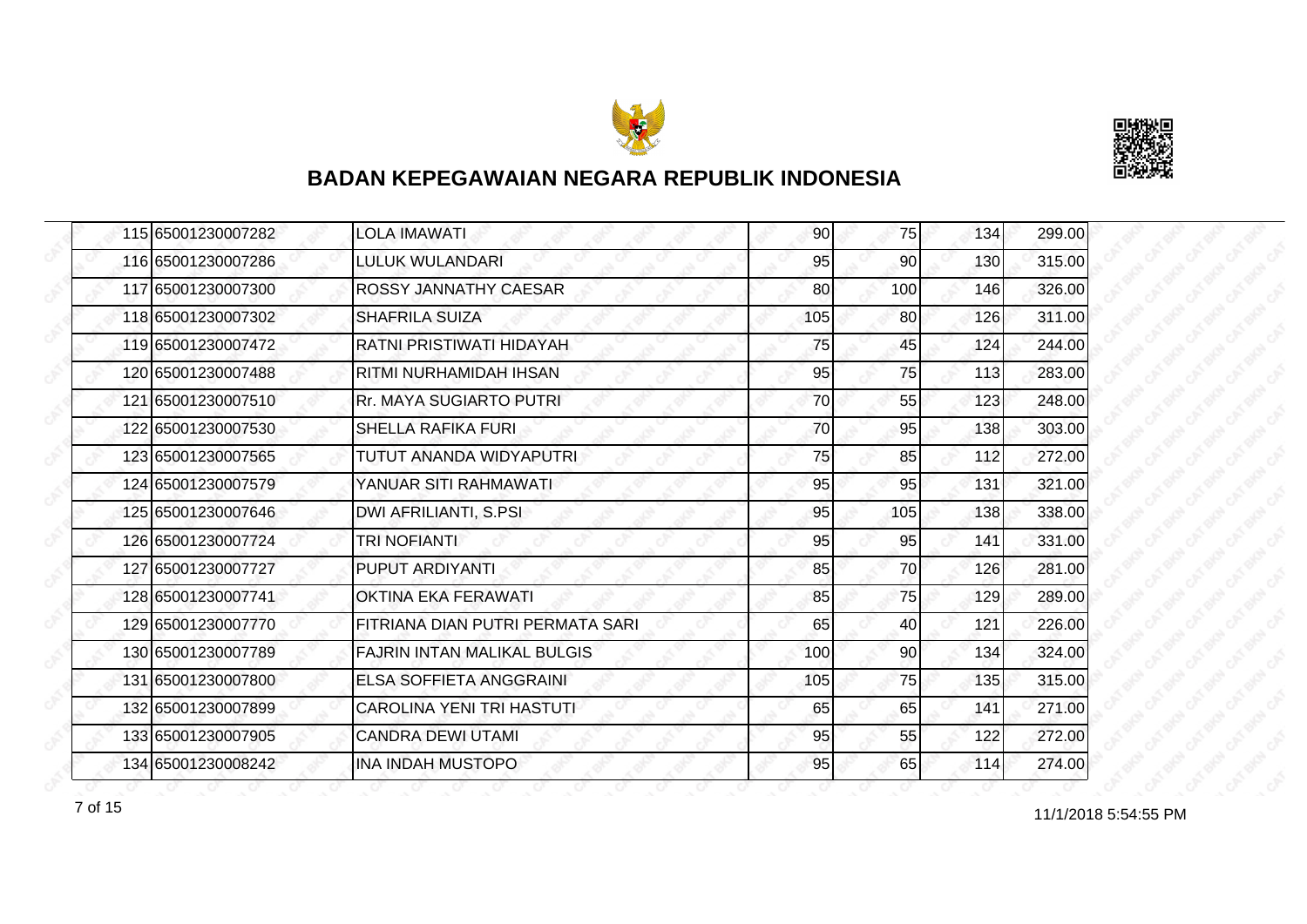



|  | 115 65001230007282 | <b>LOLA IMAWATI</b>                | 90  | 75              | 134 | 299.00 |
|--|--------------------|------------------------------------|-----|-----------------|-----|--------|
|  | 116 65001230007286 | <b>LULUK WULANDARI</b>             | 95  | 90              | 130 | 315.00 |
|  | 117 65001230007300 | ROSSY JANNATHY CAESAR              | 80  | 100             | 146 | 326.00 |
|  | 118 65001230007302 | <b>SHAFRILA SUIZA</b>              | 105 | 80 <sup>1</sup> | 126 | 311.00 |
|  | 119 65001230007472 | RATNI PRISTIWATI HIDAYAH           | 75  | 45              | 124 | 244.00 |
|  | 120 65001230007488 | <b>RITMI NURHAMIDAH IHSAN</b>      | 95  | 75              | 113 | 283.00 |
|  | 121 65001230007510 | <b>Rr. MAYA SUGIARTO PUTRI</b>     | 70  | 55              | 123 | 248.00 |
|  | 122 65001230007530 | <b>SHELLA RAFIKA FURI</b>          | 70  | 95              | 138 | 303.00 |
|  | 123 65001230007565 | TUTUT ANANDA WIDYAPUTRI            | 75  | 85              | 112 | 272.00 |
|  | 124 65001230007579 | YANUAR SITI RAHMAWATI              | 95  | 95              | 131 | 321.00 |
|  | 125 65001230007646 | DWI AFRILIANTI, S.PSI              | 95  | 105             | 138 | 338.00 |
|  | 126 65001230007724 | <b>TRI NOFIANTI</b>                | 95  | 95              | 141 | 331.00 |
|  | 127 65001230007727 | <b>PUPUT ARDIYANTI</b>             | 85  | 70              | 126 | 281.00 |
|  | 128 65001230007741 | <b>OKTINA EKA FERAWATI</b>         | 85  | 75              | 129 | 289.00 |
|  | 129 65001230007770 | FITRIANA DIAN PUTRI PERMATA SARI   | 65  | 40              | 121 | 226.00 |
|  | 130 65001230007789 | <b>FAJRIN INTAN MALIKAL BULGIS</b> | 100 | 90              | 134 | 324.00 |
|  | 131 65001230007800 | <b>ELSA SOFFIETA ANGGRAINI</b>     | 105 | 75              | 135 | 315.00 |
|  | 132 65001230007899 | CAROLINA YENI TRI HASTUTI          | 65  | 65              | 141 | 271.00 |
|  | 133 65001230007905 | <b>CANDRA DEWI UTAMI</b>           | 95  | 55              | 122 | 272.00 |
|  | 134 65001230008242 | <b>INA INDAH MUSTOPO</b>           | 95  | 65              | 114 | 274.00 |

11/1/2018 5:54:55 PM 7 of 15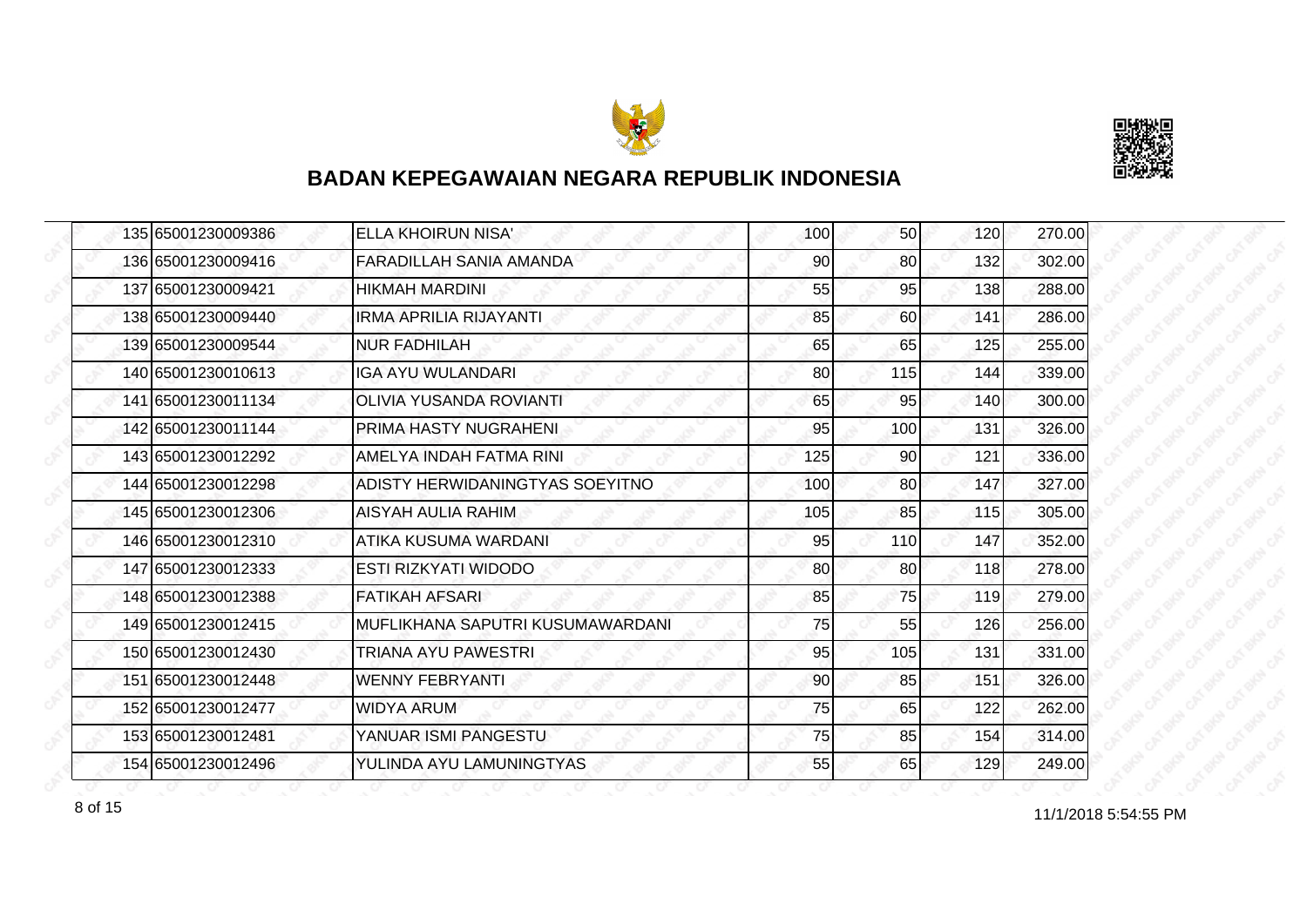



| 135 65001230009386 | <b>ELLA KHOIRUN NISA'</b>         | 100 | 50              | 120 | 270.00 |
|--------------------|-----------------------------------|-----|-----------------|-----|--------|
| 136 65001230009416 | FARADILLAH SANIA AMANDA           | 90  | 80              | 132 | 302.00 |
| 137 65001230009421 | <b>HIKMAH MARDINI</b>             | 55  | 95              | 138 | 288.00 |
| 138 65001230009440 | <b>IRMA APRILIA RIJAYANTI</b>     | 85  | <b>60</b>       | 141 | 286.00 |
| 139 65001230009544 | <b>NUR FADHILAH</b>               | 65  | 65              | 125 | 255.00 |
| 140 65001230010613 | <b>IGA AYU WULANDARI</b>          | 80  | 115             | 144 | 339.00 |
| 141 65001230011134 | <b>OLIVIA YUSANDA ROVIANTI</b>    | 65  | 95              | 140 | 300.00 |
| 142 65001230011144 | PRIMA HASTY NUGRAHENI             | 95  | 100             | 131 | 326.00 |
| 143 65001230012292 | <b>AMELYA INDAH FATMA RINI</b>    | 125 | 90              | 121 | 336.00 |
| 144 65001230012298 | ADISTY HERWIDANINGTYAS SOEYITNO   | 100 | 80              | 147 | 327.00 |
| 145 65001230012306 | AISYAH AULIA RAHIM                | 105 | 85              | 115 | 305.00 |
| 146 65001230012310 | ATIKA KUSUMA WARDANI              | 95  | 110             | 147 | 352.00 |
| 147 65001230012333 | <b>ESTI RIZKYATI WIDODO</b>       | 80  | 80 <sup>1</sup> | 118 | 278.00 |
| 148 65001230012388 | IFATIKAH AFSARI                   | 85  | 75              | 119 | 279.00 |
| 149 65001230012415 | IMUFLIKHANA SAPUTRI KUSUMAWARDANI | 75  | 55              | 126 | 256.00 |
| 150 65001230012430 | <b>TRIANA AYU PAWESTRI</b>        | 95  | 105             | 131 | 331.00 |
| 151 65001230012448 | <b>WENNY FEBRYANTI</b>            | 90  | 85              | 151 | 326.00 |
| 152 65001230012477 | <b>WIDYA ARUM</b>                 | 75  | 65              | 122 | 262.00 |
| 153 65001230012481 | YANUAR ISMI PANGESTU              | 75  | 85              | 154 | 314.00 |
| 154 65001230012496 | YULINDA AYU LAMUNINGTYAS          | 55  | 65              | 129 | 249.00 |

8 of 15 11/1/2018 5:54:55 PM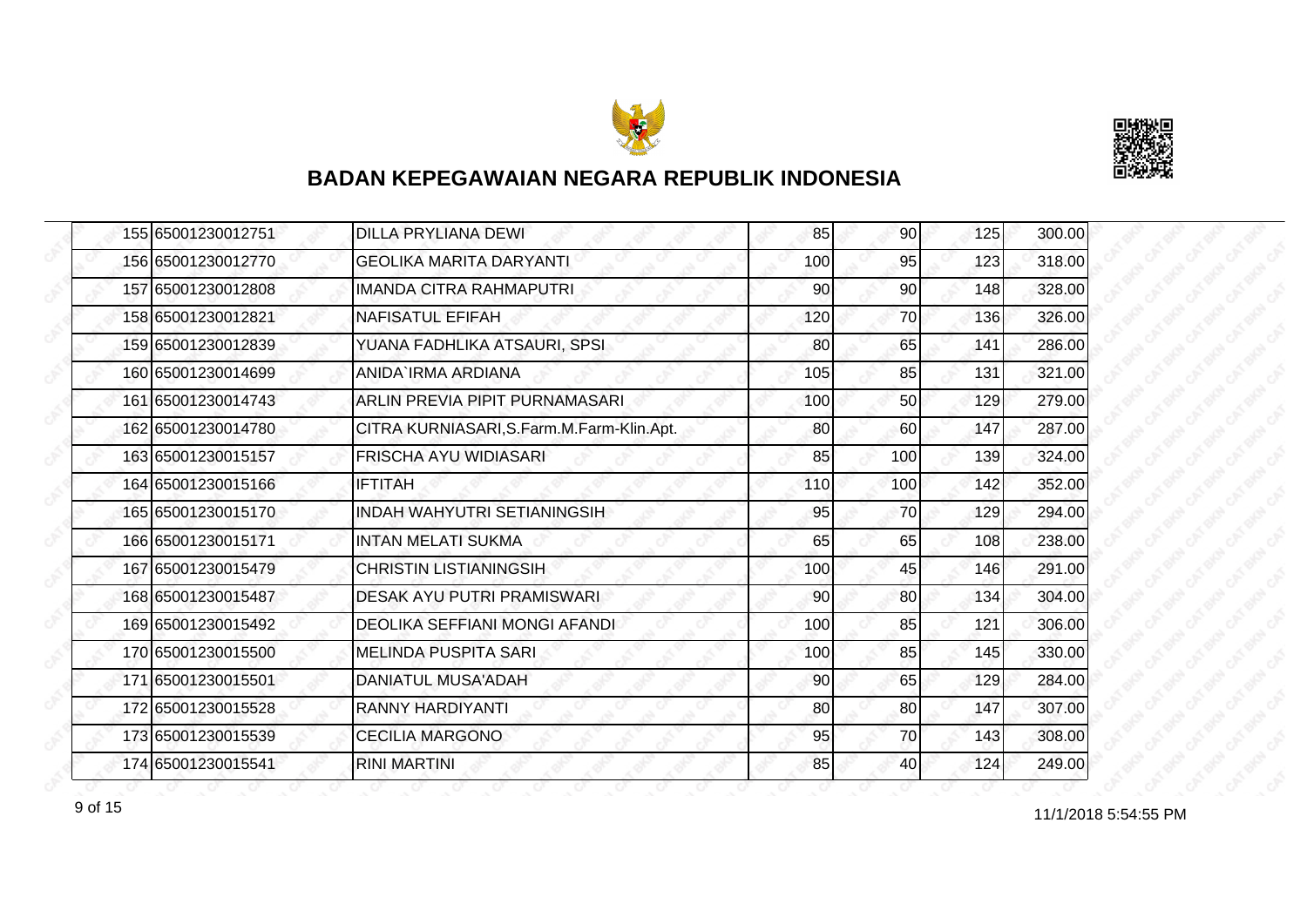



| 155 65001230012751 | <b>DILLA PRYLIANA DEWI</b>                | 85  | 90              | 125 | 300.00 |
|--------------------|-------------------------------------------|-----|-----------------|-----|--------|
| 156 65001230012770 | <b>GEOLIKA MARITA DARYANTI</b>            | 100 | 95              | 123 | 318.00 |
| 157 65001230012808 | IMANDA CITRA RAHMAPUTRI                   | 90  | 90              | 148 | 328.00 |
| 158 65001230012821 | <b>NAFISATUL EFIFAH</b>                   | 120 | 70              | 136 | 326.00 |
| 159 65001230012839 | YUANA FADHLIKA ATSAURI, SPSI              | 80  | 65              | 141 | 286.00 |
| 160 65001230014699 | ANIDA`IRMA ARDIANA                        | 105 | 85              | 131 | 321.00 |
| 161 65001230014743 | ARLIN PREVIA PIPIT PURNAMASARI            | 100 | 50 <sup>1</sup> | 129 | 279.00 |
| 162 65001230014780 | CITRA KURNIASARI, S.Farm.M.Farm-Klin.Apt. | 80  | 60              | 147 | 287.00 |
| 163 65001230015157 | <b>FRISCHA AYU WIDIASARI</b>              | 85  | 100             | 139 | 324.00 |
| 164 65001230015166 | <b>IFTITAH</b>                            | 110 | 100             | 142 | 352.00 |
| 165 65001230015170 | <b>INDAH WAHYUTRI SETIANINGSIH</b>        | 95  | 70              | 129 | 294.00 |
| 166 65001230015171 | <b>INTAN MELATI SUKMA</b>                 | 65  | 65              | 108 | 238.00 |
| 167 65001230015479 | <b>CHRISTIN LISTIANINGSIH</b>             | 100 | 45              | 146 | 291.00 |
| 168 65001230015487 | DESAK AYU PUTRI PRAMISWARI                | 90  | 80              | 134 | 304.00 |
| 169 65001230015492 | DEOLIKA SEFFIANI MONGI AFANDI             | 100 | 85              | 121 | 306.00 |
| 170 65001230015500 | <b>MELINDA PUSPITA SARI</b>               | 100 | 85              | 145 | 330.00 |
| 171 65001230015501 | DANIATUL MUSA'ADAH                        | 90  | 65              | 129 | 284.00 |
| 172 65001230015528 | <b>RANNY HARDIYANTI</b>                   | 80  | 80              | 147 | 307.00 |
| 173 65001230015539 | <b>CECILIA MARGONO</b>                    | 95  | 70              | 143 | 308.00 |
| 174 65001230015541 | <b>RINI MARTINI</b>                       | 85  | 40              | 124 | 249.00 |

11/1/2018 5:54:55 PM 9 of 15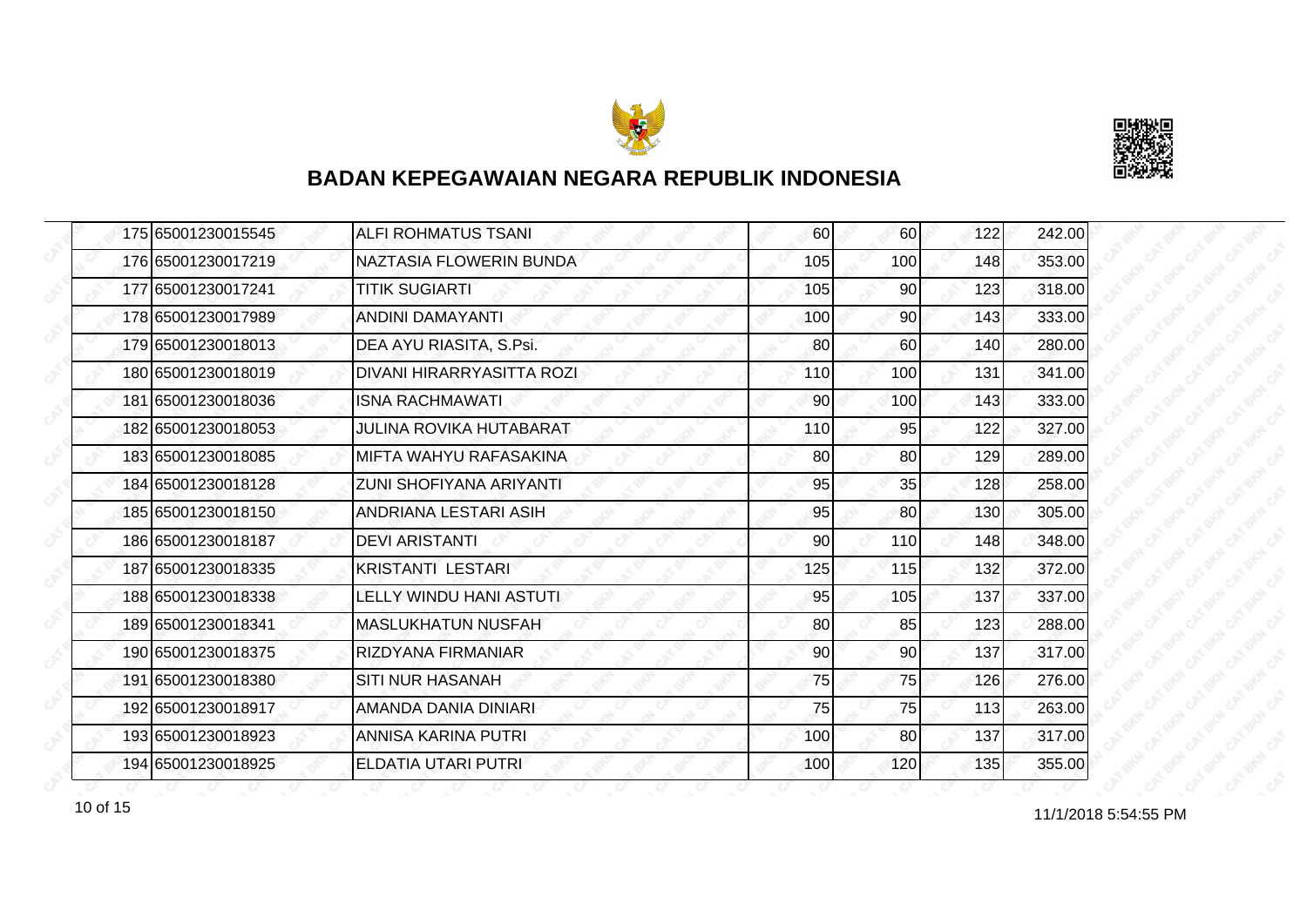



| 175 65001230015545 | <b>ALFI ROHMATUS TSANI</b>     | 60  | 60              | 122 | 242.00 |
|--------------------|--------------------------------|-----|-----------------|-----|--------|
| 176 65001230017219 | NAZTASIA FLOWERIN BUNDA        | 105 | 100             | 148 | 353.00 |
| 177 65001230017241 | <b>TITIK SUGIARTI</b>          | 105 | 90              | 123 | 318.00 |
| 178 65001230017989 | <b>ANDINI DAMAYANTI</b>        | 100 | 90 <sub>l</sub> | 143 | 333.00 |
| 179 65001230018013 | DEA AYU RIASITA, S.Psi.        | 80  | 60              | 140 | 280.00 |
| 180 65001230018019 | DIVANI HIRARRYASITTA ROZI      | 110 | 100             | 131 | 341.00 |
| 181 65001230018036 | <b>ISNA RACHMAWATI</b>         | 90  | 100             | 143 | 333.00 |
| 182 65001230018053 | <b>JULINA ROVIKA HUTABARAT</b> | 110 | 95              | 122 | 327.00 |
| 183 65001230018085 | MIFTA WAHYU RAFASAKINA         | 80  | 80              | 129 | 289.00 |
| 184 65001230018128 | ZUNI SHOFIYANA ARIYANTI        | 95  | 35              | 128 | 258.00 |
| 185 65001230018150 | ANDRIANA LESTARI ASIH          | 95  | 80              | 130 | 305.00 |
| 186 65001230018187 | <b>DEVI ARISTANTI</b>          | 90  | 110             | 148 | 348.00 |
| 187 65001230018335 | <b>KRISTANTI LESTARI</b>       | 125 | 115             | 132 | 372.00 |
| 188 65001230018338 | LELLY WINDU HANI ASTUTI        | 95  | 105             | 137 | 337.00 |
| 189 65001230018341 | <b>MASLUKHATUN NUSFAH</b>      | 80  | 85              | 123 | 288.00 |
| 190 65001230018375 | RIZDYANA FIRMANIAR             | 90  | 90 <sub>0</sub> | 137 | 317.00 |
| 191 65001230018380 | <b>SITI NUR HASANAH</b>        | 75  | 75              | 126 | 276.00 |
| 192 65001230018917 | AMANDA DANIA DINIARI           | 75  | 75              | 113 | 263.00 |
| 193 65001230018923 | ANNISA KARINA PUTRI            | 100 | 80              | 137 | 317.00 |
| 194 65001230018925 | ELDATIA UTARI PUTRI            | 100 | 120             | 135 | 355.00 |

11/1/2018 5:54:55 PM 10 of 15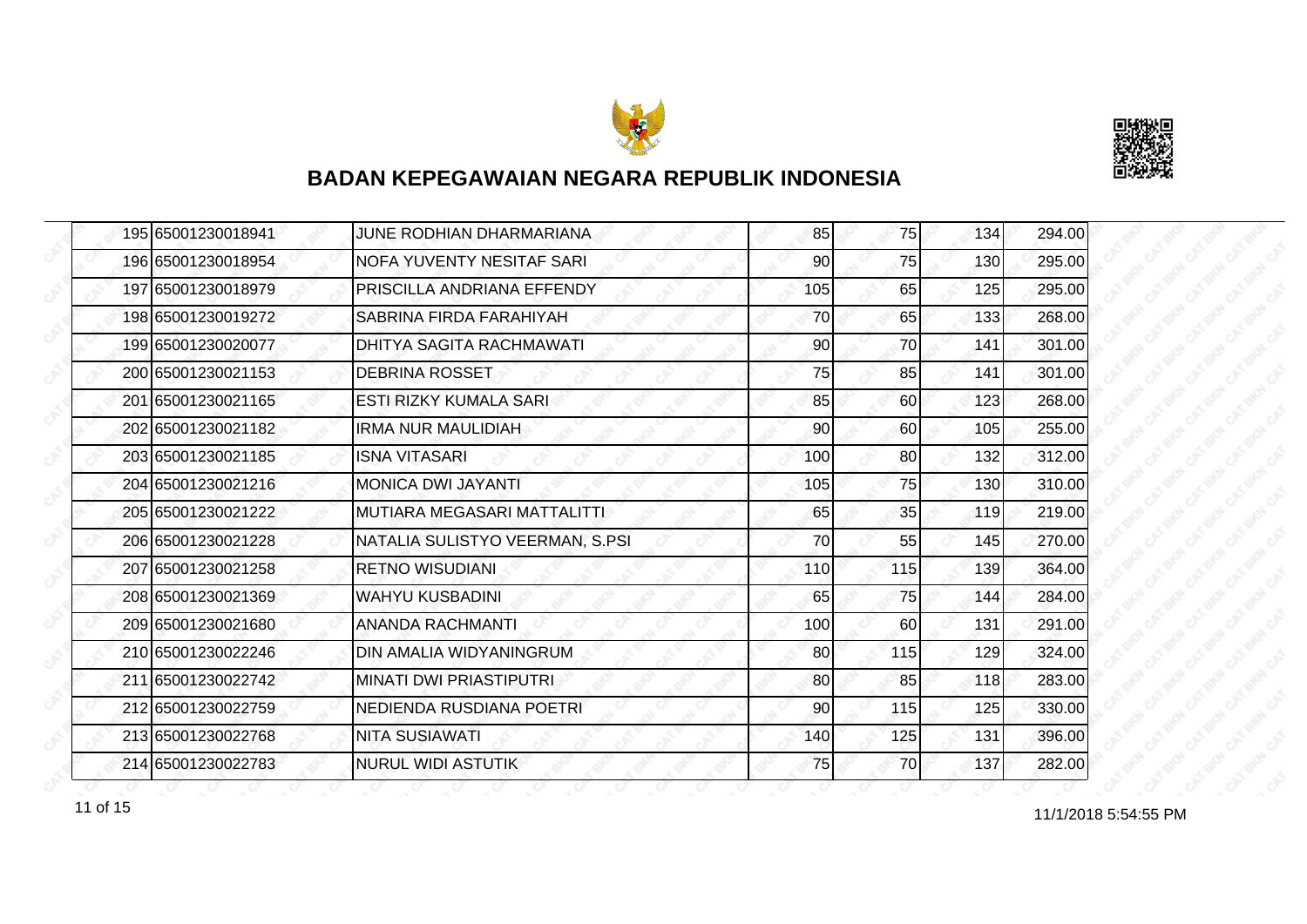



|  | 195 65001230018941 | JUNE RODHIAN DHARMARIANA        | 85  | 75  | 134 | 294.00 |
|--|--------------------|---------------------------------|-----|-----|-----|--------|
|  | 196 65001230018954 | NOFA YUVENTY NESITAF SARI       | 90  | 75  | 130 | 295.00 |
|  | 197165001230018979 | PRISCILLA ANDRIANA EFFENDY      | 105 | 65  | 125 | 295.00 |
|  | 198 65001230019272 | SABRINA FIRDA FARAHIYAH         | 70  | 65  | 133 | 268.00 |
|  | 199 65001230020077 | <b>DHITYA SAGITA RACHMAWATI</b> | 90  | 70  | 141 | 301.00 |
|  | 200 65001230021153 | <b>DEBRINA ROSSET</b>           | 75  | 85  | 141 | 301.00 |
|  | 201 65001230021165 | <b>ESTI RIZKY KUMALA SARI</b>   | 85  | 60  | 123 | 268.00 |
|  | 202 65001230021182 | <b>IRMA NUR MAULIDIAH</b>       | 90  | 60  | 105 | 255.00 |
|  | 203165001230021185 | <b>ISNA VITASARI</b>            | 100 | 80  | 132 | 312.00 |
|  | 204 65001230021216 | <b>MONICA DWI JAYANTI</b>       | 105 | 75  | 130 | 310.00 |
|  | 205 65001230021222 | MUTIARA MEGASARI MATTALITTI     | 65  | 35  | 119 | 219.00 |
|  | 206165001230021228 | NATALIA SULISTYO VEERMAN, S.PSI | 70  | 55  | 145 | 270.00 |
|  | 207 65001230021258 | <b>RETNO WISUDIANI</b>          | 110 | 115 | 139 | 364.00 |
|  | 208 65001230021369 | <b>WAHYU KUSBADINI</b>          | 65  | 75  | 144 | 284.00 |
|  | 209 65001230021680 | <b>ANANDA RACHMANTI</b>         | 100 | 60  | 131 | 291.00 |
|  | 210 65001230022246 | DIN AMALIA WIDYANINGRUM         | 80  | 115 | 129 | 324.00 |
|  | 211 65001230022742 | <b>MINATI DWI PRIASTIPUTRI</b>  | 80  | 85  | 118 | 283.00 |
|  | 212 65001230022759 | NEDIENDA RUSDIANA POETRI        | 90  | 115 | 125 | 330.00 |
|  | 213 65001230022768 | <b>NITA SUSIAWATI</b>           | 140 | 125 | 131 | 396.00 |
|  | 214 65001230022783 | <b>NURUL WIDI ASTUTIK</b>       | 75  | 70  | 137 | 282.00 |

11 of 15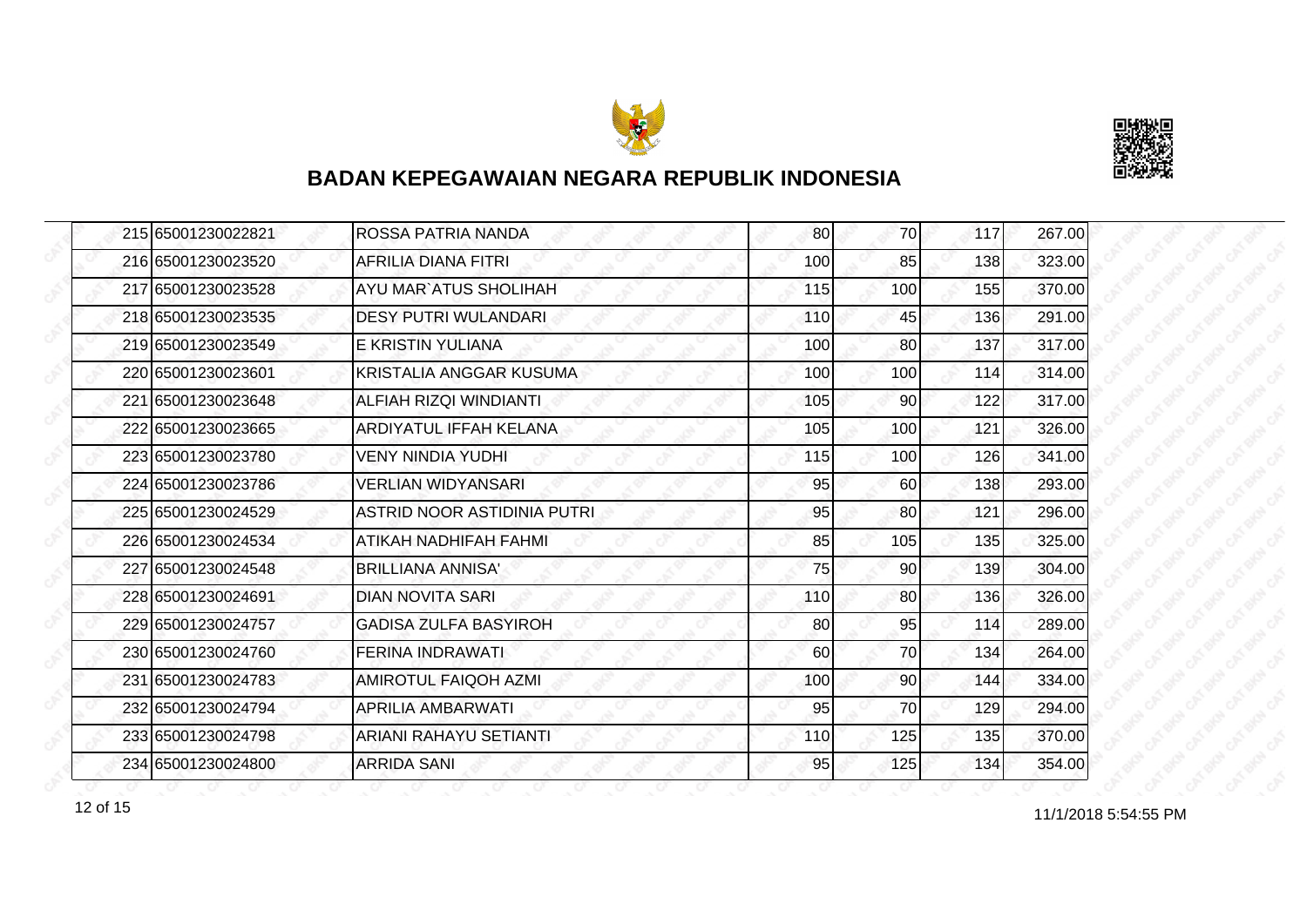



| 215 65001230022821 | ROSSA PATRIA NANDA           | 80  | 70              | 117 | 267.00 |
|--------------------|------------------------------|-----|-----------------|-----|--------|
| 216 65001230023520 | AFRILIA DIANA FITRI          | 100 | 85              | 138 | 323.00 |
| 217 65001230023528 | AYU MAR`ATUS SHOLIHAH        | 115 | 100             | 155 | 370.00 |
| 218 65001230023535 | <b>DESY PUTRI WULANDARI</b>  | 110 | 45              | 136 | 291.00 |
| 219 65001230023549 | E KRISTIN YULIANA            | 100 | 80              | 137 | 317.00 |
| 220165001230023601 | KRISTALIA ANGGAR KUSUMA      | 100 | 100             | 114 | 314.00 |
| 221 65001230023648 | ALFIAH RIZQI WINDIANTI       | 105 | 90 <sub>l</sub> | 122 | 317.00 |
| 222 65001230023665 | ARDIYATUL IFFAH KELANA       | 105 | 100             | 121 | 326.00 |
| 223 65001230023780 | <b>VENY NINDIA YUDHI</b>     | 115 | 100             | 126 | 341.00 |
| 224 65001230023786 | <b>VERLIAN WIDYANSARI</b>    | 95  | 60              | 138 | 293.00 |
| 225 65001230024529 | ASTRID NOOR ASTIDINIA PUTRI  | 95  | 80              | 121 | 296.00 |
| 226 65001230024534 | ATIKAH NADHIFAH FAHMI        | 85  | 105             | 135 | 325.00 |
| 227 65001230024548 | <b>BRILLIANA ANNISA'</b>     | 75  | 90 <sub>0</sub> | 139 | 304.00 |
| 228 65001230024691 | <b>DIAN NOVITA SARI</b>      | 110 | <b>80</b>       | 136 | 326.00 |
| 229 65001230024757 | <b>GADISA ZULFA BASYIROH</b> | 80  | 95              | 114 | 289.00 |
| 230 65001230024760 | FERINA INDRAWATI             | 60  | 70              | 134 | 264.00 |
| 231 65001230024783 | <b>AMIROTUL FAIQOH AZMI</b>  | 100 | 90              | 144 | 334.00 |
| 232 65001230024794 | APRILIA AMBARWATI            | 95  | 70              | 129 | 294.00 |
| 233 65001230024798 | ARIANI RAHAYU SETIANTI       | 110 | 125             | 135 | 370.00 |
| 234 65001230024800 | <b>ARRIDA SANI</b>           | 95  | 125             | 134 | 354.00 |

12 of 15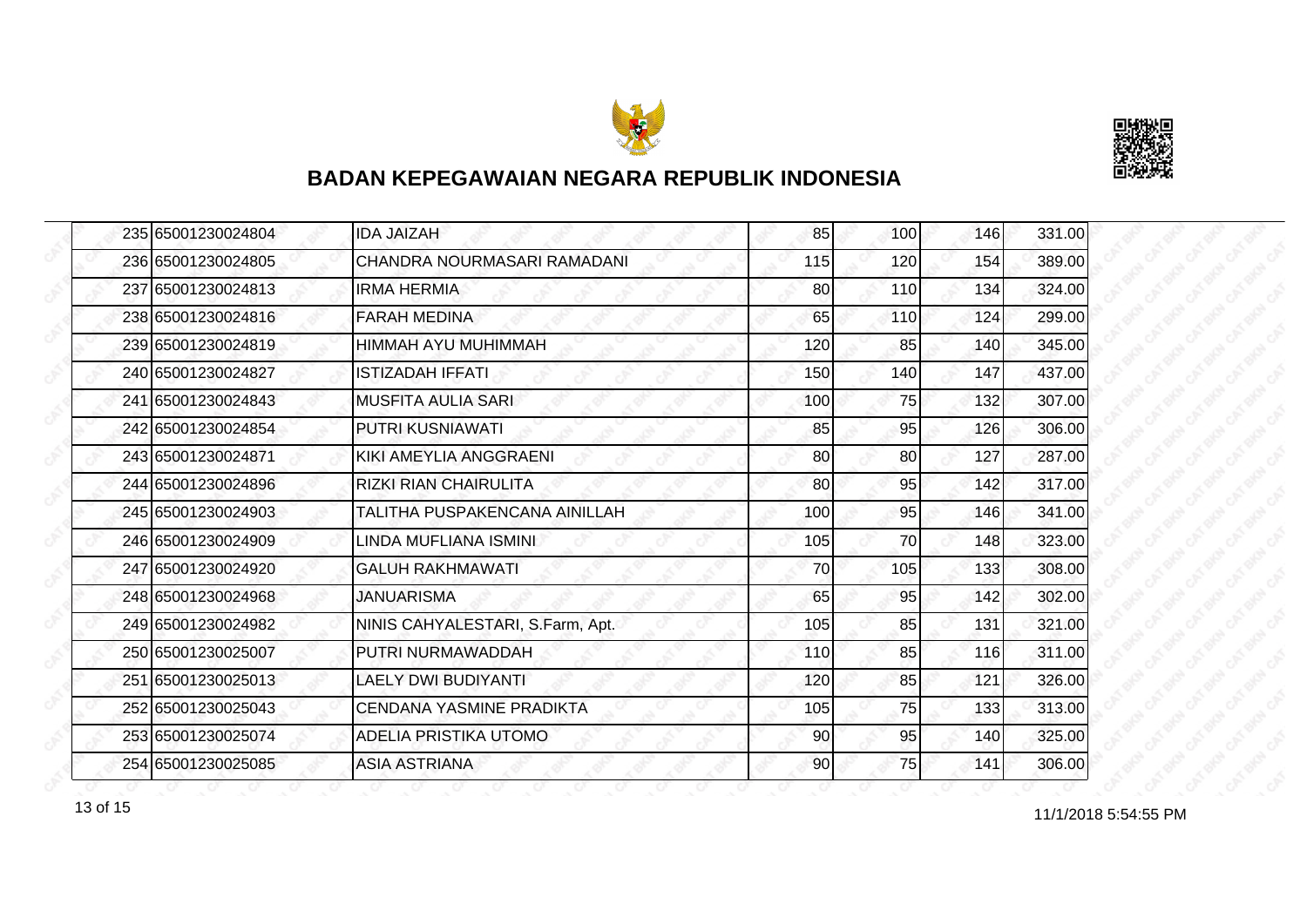



| 235 65001230024804 | <b>IDA JAIZAH</b>                | 85  | 100 | 146 | 331.00 |
|--------------------|----------------------------------|-----|-----|-----|--------|
| 236 65001230024805 | CHANDRA NOURMASARI RAMADANI      | 115 | 120 | 154 | 389.00 |
| 237165001230024813 | <b>IRMA HERMIA</b>               | 80  | 110 | 134 | 324.00 |
| 238 65001230024816 | <b>FARAH MEDINA</b>              | 65  | 110 | 124 | 299.00 |
| 239 65001230024819 | HIMMAH AYU MUHIMMAH              | 120 | 85  | 140 | 345.00 |
| 240 65001230024827 | ISTIZADAH IFFATI                 | 150 | 140 | 147 | 437.00 |
| 241 65001230024843 | <b>MUSFITA AULIA SARI</b>        | 100 | 75  | 132 | 307.00 |
| 242 65001230024854 | PUTRI KUSNIAWATI                 | 85  | 95  | 126 | 306.00 |
| 243165001230024871 | KIKI AMEYLIA ANGGRAENI           | 80  | 80  | 127 | 287.00 |
| 244 65001230024896 | <b>RIZKI RIAN CHAIRULITA</b>     | 80  | 95  | 142 | 317.00 |
| 245 65001230024903 | TALITHA PUSPAKENCANA AINILLAH    | 100 | 95  | 146 | 341.00 |
| 246 65001230024909 | LINDA MUFLIANA ISMINI            | 105 | 70  | 148 | 323.00 |
| 247 65001230024920 | <b>GALUH RAKHMAWATI</b>          | 70  | 105 | 133 | 308.00 |
| 248 65001230024968 | JANUARISMA                       | 65  | 95  | 142 | 302.00 |
| 249 65001230024982 | NINIS CAHYALESTARI, S.Farm, Apt. | 105 | 85  | 131 | 321.00 |
| 250 65001230025007 | PUTRI NURMAWADDAH                | 110 | 85  | 116 | 311.00 |
| 251 65001230025013 | LAELY DWI BUDIYANTI              | 120 | 85  | 121 | 326.00 |
| 252 65001230025043 | CENDANA YASMINE PRADIKTA         | 105 | 75  | 133 | 313.00 |
| 253 65001230025074 | ADELIA PRISTIKA UTOMO            | 90  | 95  | 140 | 325.00 |
| 254 65001230025085 | <b>ASIA ASTRIANA</b>             | 90  | 75  | 141 | 306.00 |

13 of 15 and 11/1/2018 5:54:55 PM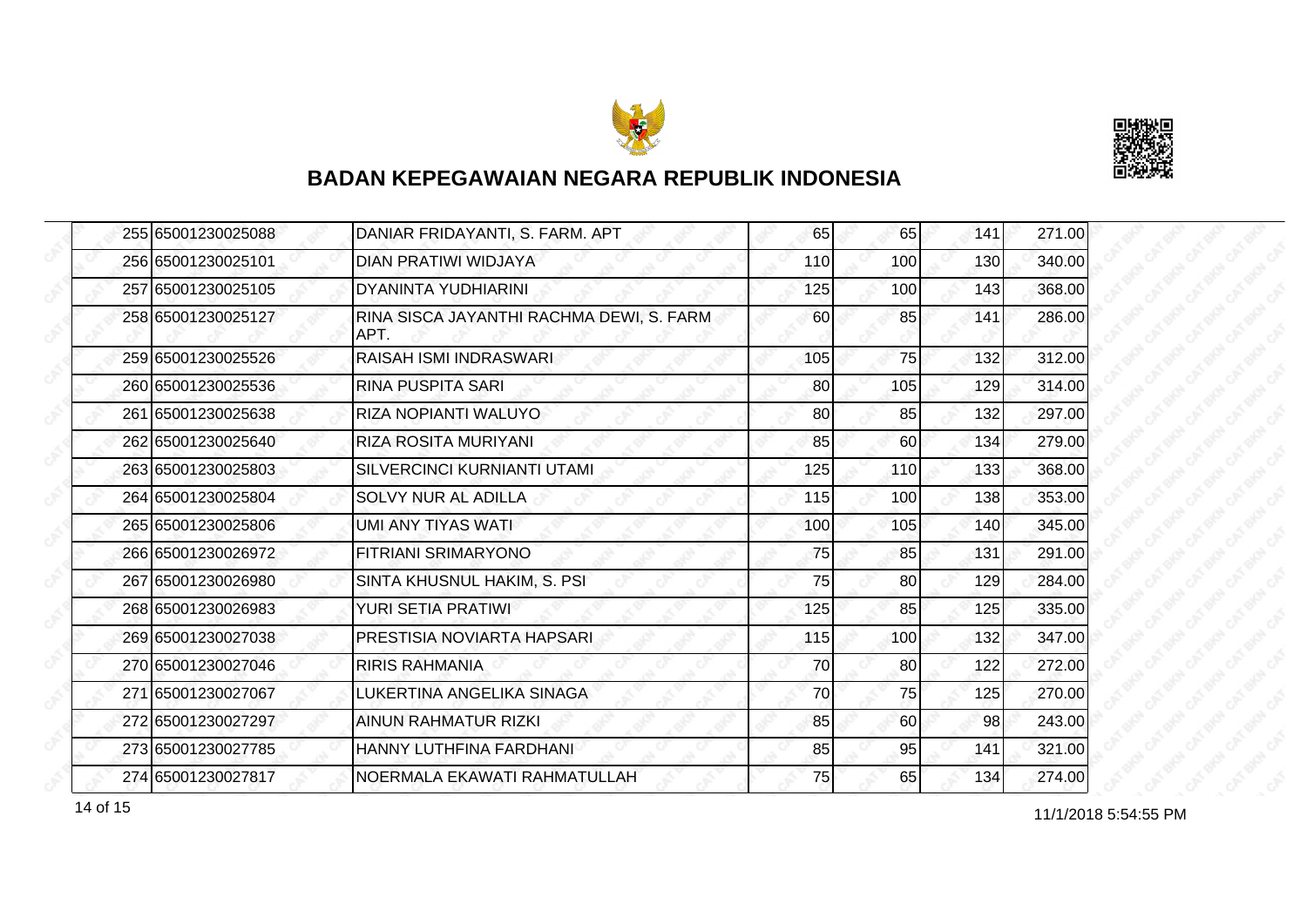



|  | 255 65001230025088 | DANIAR FRIDAYANTI, S. FARM. APT                  | 65  | 65  | 141 | 271.00 |
|--|--------------------|--------------------------------------------------|-----|-----|-----|--------|
|  | 256 65001230025101 | DIAN PRATIWI WIDJAYA                             | 110 | 100 | 130 | 340.00 |
|  | 257 65001230025105 | <b>DYANINTA YUDHIARINI</b>                       | 125 | 100 | 143 | 368.00 |
|  | 258 65001230025127 | RINA SISCA JAYANTHI RACHMA DEWI, S. FARM<br>APT. | 60  | 85  | 141 | 286.00 |
|  | 259 65001230025526 | RAISAH ISMI INDRASWARI.                          | 105 | 75  | 132 | 312.00 |
|  | 260 65001230025536 | RINA PUSPITA SARI                                | 80  | 105 | 129 | 314.00 |
|  | 261 65001230025638 | RIZA NOPIANTI WALUYO                             | 80  | 85  | 132 | 297.00 |
|  | 262 65001230025640 | <b>RIZA ROSITA MURIYANI</b>                      | 85  | 60  | 134 | 279.00 |
|  | 263 65001230025803 | <b>SILVERCINCI KURNIANTI UTAMI</b>               | 125 | 110 | 133 | 368.00 |
|  | 264 65001230025804 | SOLVY NUR AL ADILLA                              | 115 | 100 | 138 | 353.00 |
|  | 265 65001230025806 | UMI ANY TIYAS WATI                               | 100 | 105 | 140 | 345.00 |
|  | 266 65001230026972 | <b>FITRIANI SRIMARYONO</b>                       | 75  | 85  | 131 | 291.00 |
|  | 267 65001230026980 | SINTA KHUSNUL HAKIM, S. PSI                      | 75  | 80  | 129 | 284.00 |
|  | 268 65001230026983 | YURI SETIA PRATIWI                               | 125 | 85  | 125 | 335.00 |
|  | 269 65001230027038 | <b>PRESTISIA NOVIARTA HAPSARI</b>                | 115 | 100 | 132 | 347.00 |
|  | 270 65001230027046 | RIRIS RAHMANIA                                   | 70  | 80  | 122 | 272.00 |
|  | 271 65001230027067 | LUKERTINA ANGELIKA SINAGA                        | 70  | 75  | 125 | 270.00 |
|  | 272 65001230027297 | <b>AINUN RAHMATUR RIZKI</b>                      | 85  | 60  | 98  | 243.00 |
|  | 273 65001230027785 | HANNY LUTHFINA FARDHANI                          | 85  | 95  | 141 | 321.00 |
|  | 274 65001230027817 | NOERMALA EKAWATI RAHMATULLAH                     | 75  | 65  | 134 | 274.00 |

14 of 15